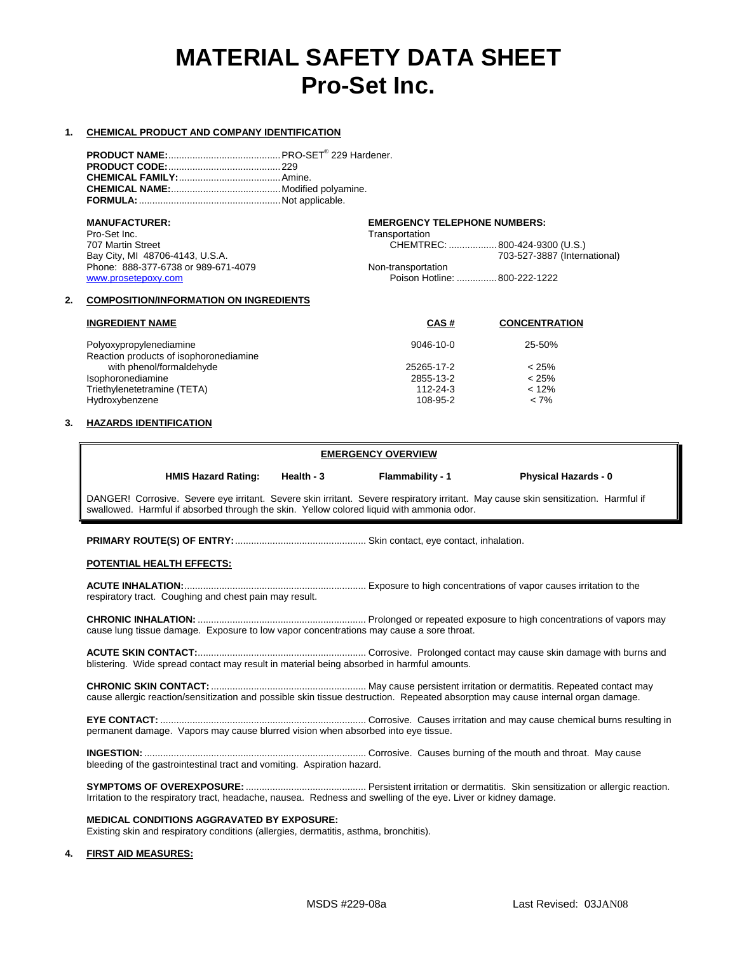# **MATERIAL SAFETY DATA SHEET Pro-Set Inc.**

#### **1. CHEMICAL PRODUCT AND COMPANY IDENTIFICATION**

| <b>MANUFACTURER:</b>                | <b>EMERGENCY TELEPHONE NUMBERS:</b> |  |
|-------------------------------------|-------------------------------------|--|
| Pro-Set Inc.                        | Transportation                      |  |
| 707 Martin Street                   | CHEMTREC: 800-424-9300 (U.S.)       |  |
| Bay City, MI 48706-4143, U.S.A.     | 703-527-3887 (International)        |  |
| Phone: 888-377-6738 or 989-671-4079 | Non-transportation                  |  |
| www.prosetepoxy.com                 | Poison Hotline:  800-222-1222       |  |
|                                     |                                     |  |

#### **2. COMPOSITION/INFORMATION ON INGREDIENTS**

| <b>INGREDIENT NAME</b>                                            | CAS#            | <b>CONCENTRATION</b> |
|-------------------------------------------------------------------|-----------------|----------------------|
| Polyoxypropylenediamine<br>Reaction products of isophoronediamine | $9046 - 10 - 0$ | 25-50%               |
| with phenol/formaldehyde                                          | 25265-17-2      | < 25%                |
| Isophoronediamine                                                 | 2855-13-2       | < 25%                |
| Triethylenetetramine (TETA)                                       | 112-24-3        | < 12%                |
| Hydroxybenzene                                                    | 108-95-2        | $< 7\%$              |

#### **3. HAZARDS IDENTIFICATION**

# **EMERGENCY OVERVIEW**

| <b>HMIS Hazard Rating:</b> | Health - 3 | Flamr |
|----------------------------|------------|-------|
|----------------------------|------------|-------|

**Hathability - 1 Physical Hazards - 0** 

DANGER! Corrosive. Severe eye irritant. Severe skin irritant. Severe respiratory irritant. May cause skin sensitization. Harmful if swallowed. Harmful if absorbed through the skin. Yellow colored liquid with ammonia odor.

**PRIMARY ROUTE(S) OF ENTRY:**................................................. Skin contact, eye contact, inhalation.

## **POTENTIAL HEALTH EFFECTS:**

**ACUTE INHALATION:**.................................................................... Exposure to high concentrations of vapor causes irritation to the respiratory tract. Coughing and chest pain may result.

**CHRONIC INHALATION:** ............................................................... Prolonged or repeated exposure to high concentrations of vapors may cause lung tissue damage. Exposure to low vapor concentrations may cause a sore throat.

**ACUTE SKIN CONTACT:**............................................................... Corrosive. Prolonged contact may cause skin damage with burns and blistering. Wide spread contact may result in material being absorbed in harmful amounts.

**CHRONIC SKIN CONTACT:**.......................................................... May cause persistent irritation or dermatitis. Repeated contact may cause allergic reaction/sensitization and possible skin tissue destruction. Repeated absorption may cause internal organ damage.

**EYE CONTACT:** ............................................................................. Corrosive. Causes irritation and may cause chemical burns resulting in permanent damage. Vapors may cause blurred vision when absorbed into eye tissue.

**INGESTION:** ................................................................................... Corrosive. Causes burning of the mouth and throat. May cause bleeding of the gastrointestinal tract and vomiting. Aspiration hazard.

**SYMPTOMS OF OVEREXPOSURE:** ............................................. Persistent irritation or dermatitis. Skin sensitization or allergic reaction. Irritation to the respiratory tract, headache, nausea. Redness and swelling of the eye. Liver or kidney damage.

## **MEDICAL CONDITIONS AGGRAVATED BY EXPOSURE:**

Existing skin and respiratory conditions (allergies, dermatitis, asthma, bronchitis).

# **4. FIRST AID MEASURES:**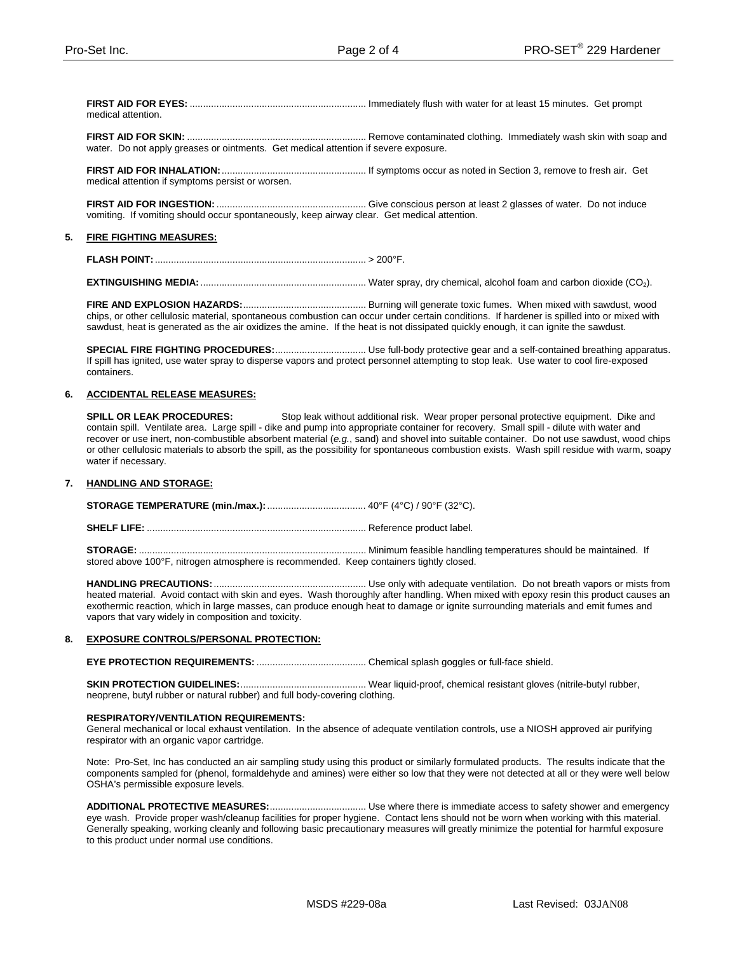**FIRST AID FOR EYES:** .................................................................. Immediately flush with water for at least 15 minutes. Get prompt medical attention.

**FIRST AID FOR SKIN:** ................................................................... Remove contaminated clothing. Immediately wash skin with soap and water. Do not apply greases or ointments. Get medical attention if severe exposure.

**FIRST AID FOR INHALATION:**...................................................... If symptoms occur as noted in Section 3, remove to fresh air. Get medical attention if symptoms persist or worsen.

**FIRST AID FOR INGESTION:**........................................................ Give conscious person at least 2 glasses of water. Do not induce vomiting. If vomiting should occur spontaneously, keep airway clear. Get medical attention.

#### **5. FIRE FIGHTING MEASURES:**

**FLASH POINT:**............................................................................... > 200°F.

**EXTINGUISHING MEDIA:**.............................................................. Water spray, dry chemical, alcohol foam and carbon dioxide (CO2).

**FIRE AND EXPLOSION HAZARDS:**.............................................. Burning will generate toxic fumes. When mixed with sawdust, wood chips, or other cellulosic material, spontaneous combustion can occur under certain conditions. If hardener is spilled into or mixed with sawdust, heat is generated as the air oxidizes the amine. If the heat is not dissipated quickly enough, it can ignite the sawdust.

**SPECIAL FIRE FIGHTING PROCEDURES:**.................................. Use full-body protective gear and a self-contained breathing apparatus. If spill has ignited, use water spray to disperse vapors and protect personnel attempting to stop leak. Use water to cool fire-exposed containers.

# **6. ACCIDENTAL RELEASE MEASURES:**

**SPILL OR LEAK PROCEDURES:** Stop leak without additional risk. Wear proper personal protective equipment. Dike and contain spill. Ventilate area. Large spill - dike and pump into appropriate container for recovery. Small spill - dilute with water and recover or use inert, non-combustible absorbent material (*e.g.*, sand) and shovel into suitable container. Do not use sawdust, wood chips or other cellulosic materials to absorb the spill, as the possibility for spontaneous combustion exists. Wash spill residue with warm, soapy water if necessary.

#### **7. HANDLING AND STORAGE:**

**STORAGE TEMPERATURE (min./max.):**..................................... 40°F (4°C) / 90°F (32°C).

**SHELF LIFE:** .................................................................................. Reference product label.

**STORAGE:** ..................................................................................... Minimum feasible handling temperatures should be maintained. If stored above 100°F, nitrogen atmosphere is recommended. Keep containers tightly closed.

**HANDLING PRECAUTIONS:**......................................................... Use only with adequate ventilation. Do not breath vapors or mists from heated material. Avoid contact with skin and eyes. Wash thoroughly after handling. When mixed with epoxy resin this product causes an exothermic reaction, which in large masses, can produce enough heat to damage or ignite surrounding materials and emit fumes and vapors that vary widely in composition and toxicity.

#### **8. EXPOSURE CONTROLS/PERSONAL PROTECTION:**

**EYE PROTECTION REQUIREMENTS:** ......................................... Chemical splash goggles or full-face shield.

**SKIN PROTECTION GUIDELINES:**............................................... Wear liquid-proof, chemical resistant gloves (nitrile-butyl rubber, neoprene, butyl rubber or natural rubber) and full body-covering clothing.

#### **RESPIRATORY/VENTILATION REQUIREMENTS:**

General mechanical or local exhaust ventilation. In the absence of adequate ventilation controls, use a NIOSH approved air purifying respirator with an organic vapor cartridge.

Note: Pro-Set, Inc has conducted an air sampling study using this product or similarly formulated products. The results indicate that the components sampled for (phenol, formaldehyde and amines) were either so low that they were not detected at all or they were well below OSHA's permissible exposure levels.

**ADDITIONAL PROTECTIVE MEASURES:**.................................... Use where there is immediate access to safety shower and emergency eye wash. Provide proper wash/cleanup facilities for proper hygiene. Contact lens should not be worn when working with this material. Generally speaking, working cleanly and following basic precautionary measures will greatly minimize the potential for harmful exposure to this product under normal use conditions.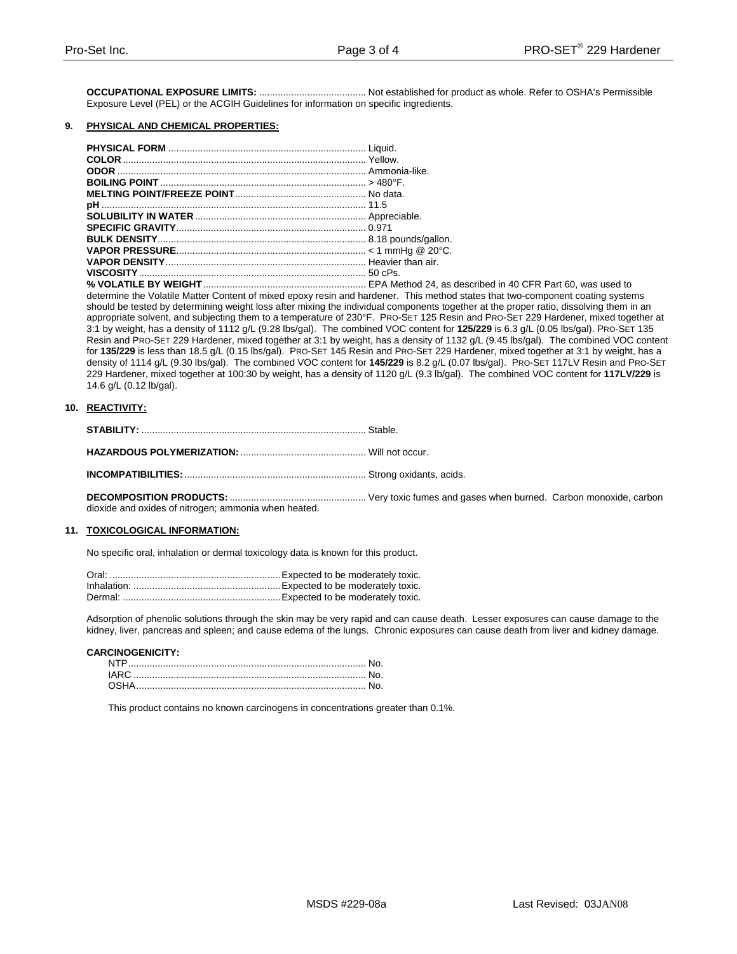**OCCUPATIONAL EXPOSURE LIMITS:** ........................................ Not established for product as whole. Refer to OSHA's Permissible Exposure Level (PEL) or the ACGIH Guidelines for information on specific ingredients.

## **9. PHYSICAL AND CHEMICAL PROPERTIES:**

**% VOLATILE BY WEIGHT**............................................................. EPA Method 24, as described in 40 CFR Part 60, was used to determine the Volatile Matter Content of mixed epoxy resin and hardener. This method states that two-component coating systems should be tested by determining weight loss after mixing the individual components together at the proper ratio, dissolving them in an appropriate solvent, and subjecting them to a temperature of 230°F. PRO-SET 125 Resin and PRO-SET 229 Hardener, mixed together at 3:1 by weight, has a density of 1112 g/L (9.28 lbs/gal). The combined VOC content for **125/229** is 6.3 g/L (0.05 lbs/gal). PRO-SET 135 Resin and PRO-SET 229 Hardener, mixed together at 3:1 by weight, has a density of 1132 g/L (9.45 lbs/gal). The combined VOC content for **135/229** is less than 18.5 g/L (0.15 lbs/gal). PRO-SET 145 Resin and PRO-SET 229 Hardener, mixed together at 3:1 by weight, has a density of 1114 g/L (9.30 lbs/gal). The combined VOC content for **145/229** is 8.2 g/L (0.07 lbs/gal). PRO-SET 117LV Resin and PRO-SET 229 Hardener, mixed together at 100:30 by weight, has a density of 1120 g/L (9.3 lb/gal). The combined VOC content for **117LV/229** is 14.6 g/L (0.12 lb/gal).

# **10. REACTIVITY:**

|--|--|

**HAZARDOUS POLYMERIZATION:** ............................................... Will not occur.

**INCOMPATIBILITIES:**.................................................................... Strong oxidants, acids.

**DECOMPOSITION PRODUCTS:** ................................................... Very toxic fumes and gases when burned. Carbon monoxide, carbon dioxide and oxides of nitrogen; ammonia when heated.

#### **11. TOXICOLOGICAL INFORMATION:**

No specific oral, inhalation or dermal toxicology data is known for this product.

Adsorption of phenolic solutions through the skin may be very rapid and can cause death. Lesser exposures can cause damage to the kidney, liver, pancreas and spleen; and cause edema of the lungs. Chronic exposures can cause death from liver and kidney damage.

#### **CARCINOGENICITY:**

This product contains no known carcinogens in concentrations greater than 0.1%.